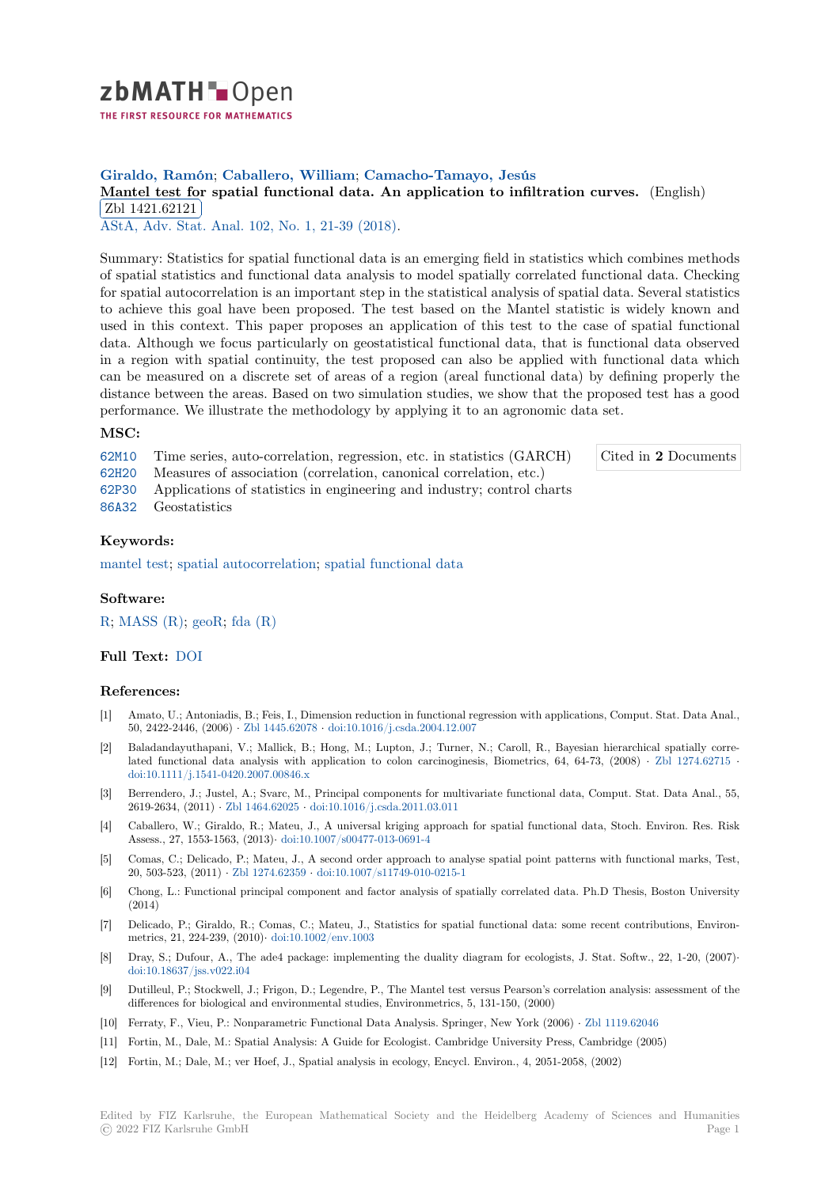

# **Giraldo, Ramón**; **Caballero, William**; **Camacho-Tamayo, Jesús**

## **[M](https://zbmath.org/)antel test for spatial functional data. An application to infiltration curves.** (English) Zbl 1421.62121

AStA, Adv. Stat. Anal. 102, No. 1, 21-39 (2018).

[Summary: Statistics for spatial functional data is an emerging field in statistics which co](https://zbmath.org/1421.62121)mbines methods [of spatial statistic](https://zbmath.org/1421.62121)s and functional data analysis to model spatially correlated functional data. Checking [for spatial autocorrelati](https://zbmath.org/journals/?q=se:6188)[on is an important step in](https://zbmath.org/?q=in:436311) the statistical analysis of spatial data. Several statistics to achieve this goal have been proposed. The test based on the Mantel statistic is widely known and used in this context. This paper proposes an application of this test to the case of spatial functional data. Although we focus particularly on geostatistical functional data, that is functional data observed in a region with spatial continuity, the test proposed can also be applied with functional data which can be measured on a discrete set of areas of a region (areal functional data) by defining properly the distance between the areas. Based on two simulation studies, we show that the proposed test has a good performance. We illustrate the methodology by applying it to an agronomic data set.

### **MSC:**

62M10 Time series, auto-correlation, regression, etc. in statistics (GARCH)

62H20 Measures of association (correlation, canonical correlation, etc.)

Cited in **2** Documents

- 62P30 Applications of statistics in engineering and industry; control charts
- 86A32 Geostatistics

### **[Keyw](https://zbmath.org/classification/?q=cc:62H20)ords:**

[mante](https://zbmath.org/classification/?q=cc:62P30)l test; spatial autocorrelation; spatial functional data

### **Software:**

R; [MASS \(R](https://zbmath.org/?q=ut:mantel+test)); geoR; [fda \(R\)](https://zbmath.org/?q=ut:spatial+autocorrelation)

### **Full Text:** DOI

### **[R](https://swmath.org/software/771)[eferences:](https://swmath.org/software/4479)**

- [1] Amato, U.; Antoniadis, B.; Feis, I., Dimension reduction in functional regression with applications, Comput. Stat. Data Anal., 50, 2422-[2446,](https://dx.doi.org/10.1007/s10182-016-0280-1) (2006) *·* Zbl 1445.62078 *·* doi:10.1016/j.csda.2004.12.007
- [2] Baladandayuthapani, V.; Mallick, B.; Hong, M.; Lupton, J.; Turner, N.; Caroll, R., Bayesian hierarchical spatially correlated functional data analysis with application to colon carcinoginesis, Biometrics, 64, 64-73, (2008) *·* Zbl 1274.62715 *·* doi:10.1111/j.1541-0420.2007.00846.x
- [3] Berrendero, J.; Justel, [A.; Svarc, M., P](https://zbmath.org/1445.62078)r[incipal components for multiva](https://dx.doi.org/10.1016/j.csda.2004.12.007)riate functional data, Comput. Stat. Data Anal., 55, 2619-2634, (2011) *·* Zbl 1464.62025 *·* doi:10.1016/j.csda.2011.03.011
- [4] Caballero, W.; Giraldo, R.; Mateu, J., A universal kriging approach for spatial functional data, Stoch. E[nviron. Res. Ris](https://zbmath.org/1274.62715)k [Assess., 27, 1553-1563, \(2013\)](https://dx.doi.org/10.1111/j.1541-0420.2007.00846.x)*·* doi:10.1007/s00477-013-0691-4
- [5] Comas, C.; Delicado, P.; Mateu, J., A second order approach to analyse spatial point patterns with functional marks, Test, 20, 503-523, (2011) *·* [Zbl 1274.6235](https://zbmath.org/1464.62025)9 *·* [doi:10.1007/s11749-010-0215-](https://dx.doi.org/10.1016/j.csda.2011.03.011)1
- [6] Chong, L.: Functional principal component and factor analysis of spatially correlated data. Ph.D Thesis, Boston University (2014)
- [7] Delicado, P.; Giraldo, R.; Comas, C.; Mateu, J., Statistics for spatial functional data: some recent contributions, Environmetrics, 21, 224-239, (2010)*·* [doi:10.1](https://zbmath.org/1274.62359)0[02/env.1003](https://dx.doi.org/10.1007/s11749-010-0215-1)
- [8] Dray, S.; Dufour, A., The ade4 package: implementing the duality diagram for ecologists, J. Stat. Softw., 22, 1-20, (2007)*·* doi:10.18637/jss.v022.i04
- [9] Dutilleul, P.; Stockwell, J.; Frigon, D.; Legendre, P., The Mantel test versus Pearson's correlation analysis: assessment of the differences for biological and [environmental studie](https://dx.doi.org/10.1002/env.1003)s, Environmetrics, 5, 131-150, (2000)
- [10] Ferraty, F., Vieu, P.: Nonparametric Functional Data Analysis. Springer, New York (2006) *·* Zbl 1119.62046
- [11] [Fortin, M., Dale, M.: Spa](https://dx.doi.org/10.18637/jss.v022.i04)tial Analysis: A Guide for Ecologist. Cambridge University Press, Cambridge (2005)
- [12] Fortin, M.; Dale, M.; ver Hoef, J., Spatial analysis in ecology, Encycl. Environ., 4, 2051-2058, (2002)